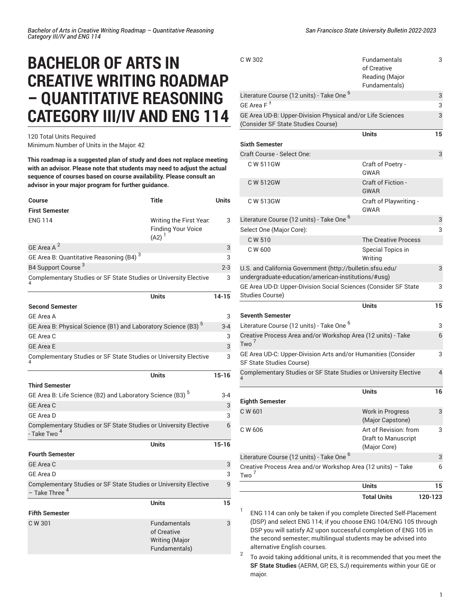## **BACHELOR OF ARTS IN CREATIVE WRITING ROADMAP – QUANTITATIVE REASONING CATEGORY III/IV AND ENG 114**

120 Total Units Required Minimum Number of Units in the Major: 42

**This roadmap is a suggested plan of study and does not replace meeting with an advisor. Please note that students may need to adjust the actual sequence of courses based on course availability. Please consult an advisor in your major program for further guidance.**

| <b>Title</b><br>Course                                                                        | Units     |
|-----------------------------------------------------------------------------------------------|-----------|
| <b>First Semester</b>                                                                         |           |
| <b>ENG 114</b><br>Writing the First Year.<br><b>Finding Your Voice</b><br>$(A2)^1$            | 3         |
| GE Area A <sup>2</sup>                                                                        | 3         |
| GE Area B: Quantitative Reasoning (B4) <sup>3</sup>                                           | 3         |
| B4 Support Course <sup>3</sup>                                                                | $2 - 3$   |
| Complementary Studies or SF State Studies or University Elective                              | 3         |
| <b>Units</b>                                                                                  | $14 - 15$ |
| <b>Second Semester</b>                                                                        |           |
| GF Area A                                                                                     | 3         |
| GE Area B: Physical Science (B1) and Laboratory Science (B3) <sup>5</sup>                     | $3 - 4$   |
| GE Area C                                                                                     | 3         |
| <b>GE Area E</b>                                                                              | 3         |
| Complementary Studies or SF State Studies or University Elective                              | 3         |
| Units                                                                                         | $15 - 16$ |
| Third Semester                                                                                |           |
| GE Area B: Life Science (B2) and Laboratory Science (B3) <sup>5</sup>                         | $3-4$     |
| <b>GE Area C</b>                                                                              | 3         |
| <b>GE Area D</b>                                                                              | 3         |
| Complementary Studies or SF State Studies or University Elective<br>- Take Two <sup>4</sup>   | 6         |
| Units                                                                                         | $15 - 16$ |
| <b>Fourth Semester</b>                                                                        |           |
| <b>GE Area C</b>                                                                              | 3         |
| <b>GE Area D</b>                                                                              | 3         |
| Complementary Studies or SF State Studies or University Elective<br>- Take Three <sup>4</sup> | 9         |
| Units                                                                                         | 15        |
| <b>Fifth Semester</b>                                                                         |           |
| C W 301<br><b>Fundamentals</b><br>of Creative<br><b>Writing (Major</b><br>Fundamentals)       | 3         |

| C W 302                                                                                                          | Fundamentals<br>of Creative<br>Reading (Major<br>Fundamentals) | 3       |
|------------------------------------------------------------------------------------------------------------------|----------------------------------------------------------------|---------|
| Literature Course (12 units) - Take One <sup>6</sup>                                                             |                                                                | 3       |
| GE Area $F^{\pm}$                                                                                                |                                                                | 3       |
| GE Area UD-B: Upper-Division Physical and/or Life Sciences<br>(Consider SF State Studies Course)                 |                                                                | 3       |
|                                                                                                                  | <b>Units</b>                                                   | 15      |
| <b>Sixth Semester</b>                                                                                            |                                                                |         |
| Craft Course - Select One:                                                                                       |                                                                | 3       |
| C W 511GW                                                                                                        | Craft of Poetry -<br>GWAR                                      |         |
| C W 512GW                                                                                                        | <b>Craft of Fiction -</b><br><b>GWAR</b>                       |         |
| C W 513GW                                                                                                        | Craft of Playwriting -<br>GWAR                                 |         |
| Literature Course (12 units) - Take One <sup>6</sup>                                                             |                                                                | 3       |
| Select One (Major Core):                                                                                         |                                                                | 3       |
| C W 510                                                                                                          | <b>The Creative Process</b>                                    |         |
| C W 600                                                                                                          | Special Topics in<br>Writing                                   |         |
| U.S. and California Government (http://bulletin.sfsu.edu/<br>undergraduate-education/american-institutions/#usg) |                                                                | 3       |
| GE Area UD-D: Upper-Division Social Sciences (Consider SF State<br>Studies Course)                               |                                                                | 3       |
| <b>Seventh Semester</b>                                                                                          | <b>Units</b>                                                   | 15      |
| Literature Course (12 units) - Take One <sup>6</sup>                                                             |                                                                | 3       |
| Creative Process Area and/or Workshop Area (12 units) - Take<br>Two <sup>7</sup>                                 |                                                                | 6       |
| GE Area UD-C: Upper-Division Arts and/or Humanities (Consider<br>SF State Studies Course)                        |                                                                | 3       |
| Complementary Studies or SF State Studies or University Elective                                                 |                                                                | 4       |
|                                                                                                                  | Units                                                          | 16      |
| <b>Eighth Semester</b>                                                                                           |                                                                |         |
| C W 601                                                                                                          | <b>Work in Progress</b><br>(Major Capstone)                    | 3       |
| C W 606                                                                                                          | Art of Revision: from<br>Draft to Manuscript<br>(Major Core)   | 3       |
| Literature Course (12 units) - Take One <sup>6</sup>                                                             |                                                                | 3       |
| Creative Process Area and/or Workshop Area (12 units) - Take<br>Two <sup>7</sup>                                 |                                                                | 6       |
|                                                                                                                  | <b>Units</b>                                                   | 15      |
|                                                                                                                  | <b>Total Units</b>                                             | 120-123 |

1 ENG 114 can only be taken if you complete Directed Self-Placement (DSP) and select ENG 114; if you choose ENG 104/ENG 105 through DSP you will satisfy A2 upon successful completion of ENG 105 in the second semester; multilingual students may be advised into alternative English courses.

2 To avoid taking additional units, it is recommended that you meet the **SF State Studies** (AERM, GP, ES, SJ) requirements within your GE or major.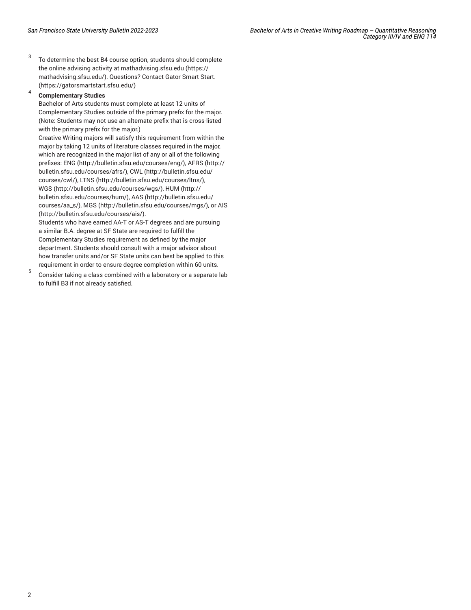3 To determine the best B4 course option, students should complete the online advising activity at [mathadvising.sfsu.edu](https://mathadvising.sfsu.edu/) ([https://](https://mathadvising.sfsu.edu/) [mathadvising.sfsu.edu/\)](https://mathadvising.sfsu.edu/). Questions? Contact Gator [Smart](https://gatorsmartstart.sfsu.edu/) Start. ([https://gatorsmartstart.sfsu.edu/\)](https://gatorsmartstart.sfsu.edu/)

## 4 **Complementary Studies**

Bachelor of Arts students must complete at least 12 units of Complementary Studies outside of the primary prefix for the major. (Note: Students may not use an alternate prefix that is cross-listed with the primary prefix for the major.)

Creative Writing majors will satisfy this requirement from within the major by taking 12 units of literature classes required in the major, which are recognized in the major list of any or all of the following prefixes: [ENG](http://bulletin.sfsu.edu/courses/eng/) ([http://bulletin.sfsu.edu/courses/eng/\)](http://bulletin.sfsu.edu/courses/eng/), [AFRS](http://bulletin.sfsu.edu/courses/afrs/) ([http://](http://bulletin.sfsu.edu/courses/afrs/) [bulletin.sfsu.edu/courses/afrs/\)](http://bulletin.sfsu.edu/courses/afrs/), [CWL](http://bulletin.sfsu.edu/courses/cwl/) [\(http://bulletin.sfsu.edu/](http://bulletin.sfsu.edu/courses/cwl/) [courses/cwl/\)](http://bulletin.sfsu.edu/courses/cwl/), [LTNS](http://bulletin.sfsu.edu/courses/ltns/) ([http://bulletin.sfsu.edu/courses/ltns/\)](http://bulletin.sfsu.edu/courses/ltns/), [WGS \(http://bulletin.sfsu.edu/courses/wgs/\)](http://bulletin.sfsu.edu/courses/wgs/), [HUM](http://bulletin.sfsu.edu/courses/hum/) ([http://](http://bulletin.sfsu.edu/courses/hum/) [bulletin.sfsu.edu/courses/hum/\)](http://bulletin.sfsu.edu/courses/hum/), [AAS](http://bulletin.sfsu.edu/courses/aa_s/) ([http://bulletin.sfsu.edu/](http://bulletin.sfsu.edu/courses/aa_s/) [courses/aa\\_s/](http://bulletin.sfsu.edu/courses/aa_s/)), [MGS \(http://bulletin.sfsu.edu/courses/mgs/\)](http://bulletin.sfsu.edu/courses/mgs/), or [AIS](http://bulletin.sfsu.edu/courses/ais/) (<http://bulletin.sfsu.edu/courses/ais/>).

Students who have earned AA-T or AS-T degrees and are pursuing a similar B.A. degree at SF State are required to fulfill the Complementary Studies requirement as defined by the major department. Students should consult with a major advisor about how transfer units and/or SF State units can best be applied to this requirement in order to ensure degree completion within 60 units.

5 Consider taking a class combined with a laboratory or a separate lab to fulfill B3 if not already satisfied.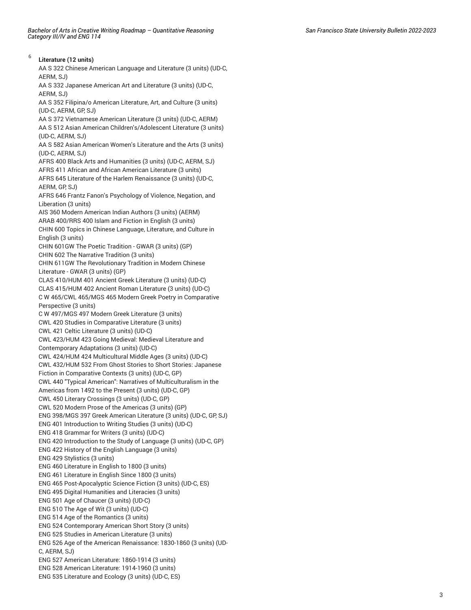6

**Literature (12 units)** AA S 322 Chinese American Language and Literature (3 units) (UD-C, AERM, SJ) AA S 332 Japanese American Art and Literature (3 units) (UD-C, AERM, SJ) AA S 352 Filipina/o American Literature, Art, and Culture (3 units) (UD-C, AERM, GP, SJ) AA S 372 Vietnamese American Literature (3 units) (UD-C, AERM) AA S 512 Asian American Children's/Adolescent Literature (3 units) (UD-C, AERM, SJ) AA S 582 Asian American Women's Literature and the Arts (3 units) (UD-C, AERM, SJ) AFRS 400 Black Arts and Humanities (3 units) (UD-C, AERM, SJ) AFRS 411 African and African American Literature (3 units) AFRS 645 Literature of the Harlem Renaissance (3 units) (UD-C, AERM, GP, SJ) AFRS 646 Frantz Fanon's Psychology of Violence, Negation, and Liberation (3 units) AIS 360 Modern American Indian Authors (3 units) (AERM) ARAB 400/RRS 400 Islam and Fiction in English (3 units) CHIN 600 Topics in Chinese Language, Literature, and Culture in English (3 units) CHIN 601GW The Poetic Tradition - GWAR (3 units) (GP) CHIN 602 The Narrative Tradition (3 units) CHIN 611GW The Revolutionary Tradition in Modern Chinese Literature - GWAR (3 units) (GP) CLAS 410/HUM 401 Ancient Greek Literature (3 units) (UD-C) CLAS 415/HUM 402 Ancient Roman Literature (3 units) (UD-C) C W 465/CWL 465/MGS 465 Modern Greek Poetry in Comparative Perspective (3 units) C W 497/MGS 497 Modern Greek Literature (3 units) CWL 420 Studies in Comparative Literature (3 units) CWL 421 Celtic Literature (3 units) (UD-C) CWL 423/HUM 423 Going Medieval: Medieval Literature and Contemporary Adaptations (3 units) (UD-C) CWL 424/HUM 424 Multicultural Middle Ages (3 units) (UD-C) CWL 432/HUM 532 From Ghost Stories to Short Stories: Japanese Fiction in Comparative Contexts (3 units) (UD-C, GP) CWL 440 "Typical American": Narratives of Multiculturalism in the Americas from 1492 to the Present (3 units) (UD-C, GP) CWL 450 Literary Crossings (3 units) (UD-C, GP) CWL 520 Modern Prose of the Americas (3 units) (GP) ENG 398/MGS 397 Greek American Literature (3 units) (UD-C, GP, SJ) ENG 401 Introduction to Writing Studies (3 units) (UD-C) ENG 418 Grammar for Writers (3 units) (UD-C) ENG 420 Introduction to the Study of Language (3 units) (UD-C, GP) ENG 422 History of the English Language (3 units) ENG 429 Stylistics (3 units) ENG 460 Literature in English to 1800 (3 units) ENG 461 Literature in English Since 1800 (3 units) ENG 465 Post-Apocalyptic Science Fiction (3 units) (UD-C, ES) ENG 495 Digital Humanities and Literacies (3 units) ENG 501 Age of Chaucer (3 units) (UD-C) ENG 510 The Age of Wit (3 units) (UD-C) ENG 514 Age of the Romantics (3 units) ENG 524 Contemporary American Short Story (3 units) ENG 525 Studies in American Literature (3 units) ENG 526 Age of the American Renaissance: 1830-1860 (3 units) (UD-C, AERM, SJ) ENG 527 American Literature: 1860-1914 (3 units) ENG 528 American Literature: 1914-1960 (3 units) ENG 535 Literature and Ecology (3 units) (UD-C, ES)